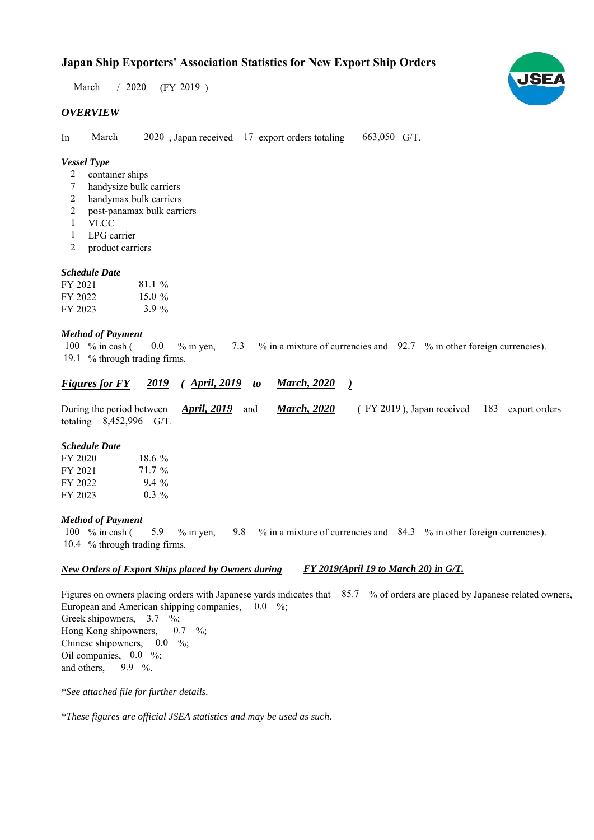$/ 2020$  (FY 2019) March

### *OVERVIEW*

In March 2020, Japan received 17 export orders totaling 663,050 G/T. March

#### *Vessel Type*

- container ships 2
- handysize bulk carriers 7
- handymax bulk carriers 2
- post-panamax bulk carriers 2
- VLCC 1
- LPG carrier 1
- product carriers 2

#### *Schedule Date*

| FY 2021 | $81.1\%$  |
|---------|-----------|
| FY 2022 | 15.0 $\%$ |
| FY 2023 | 3.9 $\%$  |

#### *Method of Payment*

% in cash ( $\ 0.0\,$  % in yen,  $\ 7.3\,$  % in a mixture of currencies and  $\ 92.7\,$  % in other foreign currencies). 19.1 % through trading firms. 0.0 100 % in cash (

#### *<u>Figures for FY 2019 (April, 2019 to March, 2020</u> ) March, 2020*

During the period between *April, 2019* and *March, 2020* (FY 2019), Japan received 183 export orders totaling  $8,452,996$  G/T. *March, 2020 April, 2019* and

#### *Schedule Date*

| FY 2020 | 18.6 $\%$ |
|---------|-----------|
| FY 2021 | 71.7 %    |
| FY 2022 | $9.4\%$   |
| FY 2023 | $0.3\%$   |

#### *Method of Payment*

% in cash ( $\frac{5.9}{8}$  % in yen,  $\frac{9.8}{8}$  % in a mixture of currencies and  $\frac{84.3}{8}$  % in other foreign currencies). 10.4 % through trading firms. 9.8 5.9 100 % in cash (

#### *New Orders of Export Ships placed by Owners during FY 2019(April 19 to March 20) in G/T.*

Figures on owners placing orders with Japanese yards indicates that 85.7 % of orders are placed by Japanese related owners, European and American shipping companies,  $0.0\%$ ; Greek shipowners,  $3.7 \%$ ; Hong Kong shipowners, Chinese shipowners,  $0.0\%$ ; Oil companies,  $0.0\%$ ; and others,  $0.7 \frac{9}{6}$ 9.9  $%$ 

*\*See attached file for further details.*

*\*These figures are official JSEA statistics and may be used as such.*

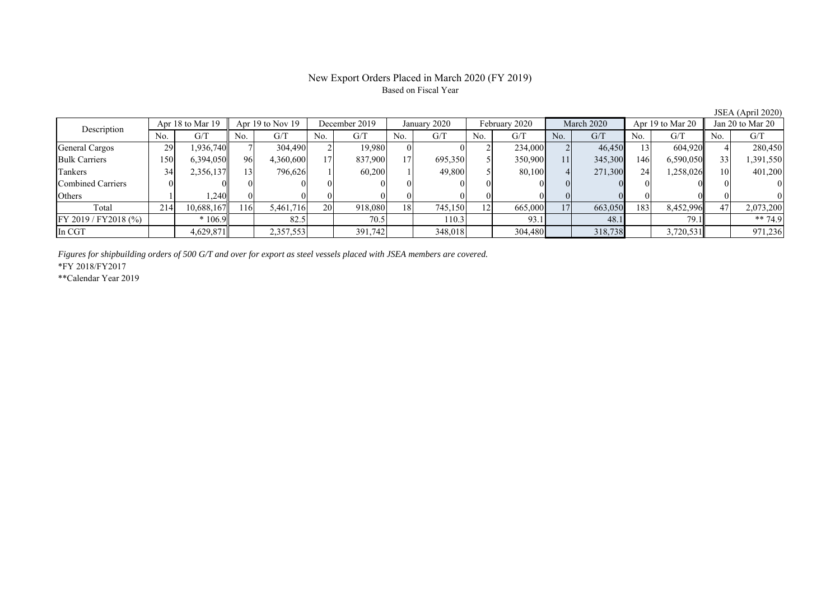# Based on Fiscal Year

No. G/T No. G/T No. G/T No. G/T No. G/T No. G/T No. G/T No. G/T General Cargos ( 29 1,936,740 7 304,490 2 19,980 0 0 2 234,000 2 46,450 13 604,920 4 280,450 Bulk Carriers 150 6,394,050 96 4,360,600 17 837,900 17 695,350 5 350,900 11 345,300 146 6,590,050 33 1,391,550 Tankers | 34| 2,356,137|| 13| 796,626| 1| 60,200| 1| 49,800| 5| 80,100| 4| 271,300| 24| 1,258,026|| 10| 401,200 Combined Carriers 0 0 0 0 0 0 0 0 0 0 0 0 0 0 0 0 Others | 1 | 1,240 || 0 || 0 || 0 || 0 || 0 || 0 || 0 || 0 || 0 || 0 || 0 || 0 Total 214 10,688,167 116 5,461,716 20 918,080 18 745,150 12 665,000 17 663,050 183 8,452,996 47 2,073,200 FY 2019 / FY2018 (%) \* 106.9 82.5 70.5 110.3 93.1 48.1 79.1 \*\* 74.9 In CGT 4,629,871 2,357,553 391,742 348,018 304,480 318,738 3,720,531 971,236 Description Apr 18 to Mar 19  $\parallel$  Apr 19 to Nov 19 December 2019 January 2020 February 2020 March 2020 Apr 19 to Mar 20 Jan 20 to Mar 20 February 2020 March 2020 Apr 19 to Mar 20

*Figures for shipbuilding orders of 500 G/T and over for export as steel vessels placed with JSEA members are covered.*

\*FY 2018/FY2017

\*\*Calendar Year 2019

JSEA (April 2020)

## New Export Orders Placed in March 2020 (FY 2019)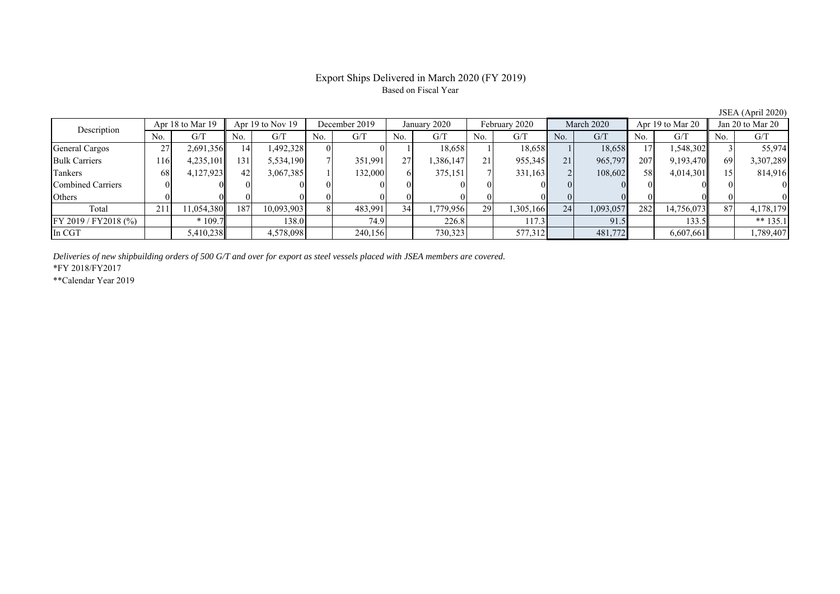### Export Ships Delivered in March 2020 (FY 2019) Based on Fiscal Year

JSEA (April 2020)

| Description          |                 | Apr 18 to Mar 19 |     | Apr $19$ to Nov $19$ | December 2019 |         | January 2020 |           | February 2020 |           | March 2020     |           | Apr 19 to Mar 20 |            | Jan 20 to Mar 20 |            |
|----------------------|-----------------|------------------|-----|----------------------|---------------|---------|--------------|-----------|---------------|-----------|----------------|-----------|------------------|------------|------------------|------------|
|                      | No.             | G/T              | No. | G/T                  | No.           | G/T     | No.          | G/T       | No.           | G/T       | No.            | G/T       | No.              | G/T        | No.              | G/T        |
| General Cargos       | 27<br>21        | 2,691,356        | 4   | 1,492,328            |               |         |              | 18,658    |               | 18,658    |                | 18,658    | 17               | 1,548,302  |                  | 55,974     |
| <b>Bulk Carriers</b> | 1161            | 4,235,101        | 131 | 5,534,190            |               | 351,991 | 27           | .386,147  | 21            | 955,345   | 21             | 965,797   | 207              | 9,193,470  | 69               | 3,307,289  |
| Tankers              | 68              | 4,127,923        | 42  | 3,067,385            |               | 132,000 |              | 375,151   |               | 331,163   | $\overline{2}$ | 108,602   | 58               | 4,014,301  |                  | 814,916    |
| Combined Carriers    |                 |                  |     |                      |               |         |              |           |               |           |                |           |                  |            |                  |            |
| Others               |                 |                  |     |                      |               |         |              |           |               |           |                |           |                  |            |                  |            |
| Total                | 21 <sup>2</sup> | 11,054,380       | 187 | 10,093,903           |               | 483,991 | 34           | 1,779,956 | 29            | 1,305,166 | 24             | 1,093,057 | 282              | 14,756,073 | 87               | 4,178,179  |
| FY 2019 / FY2018 (%) |                 | $*109.7$         |     | 138.0                |               | 74.9    |              | 226.8     |               | 117.3     |                | 91.5      |                  | 133.5      |                  | ** $135.1$ |
| In CGT               |                 | 5,410,238        |     | 4,578,098            |               | 240,156 |              | 730,323   |               | 577,312   |                | 481,772   |                  | 6,607,661  |                  | 1,789,407  |

*Deliveries of new shipbuilding orders of 500 G/T and over for export as steel vessels placed with JSEA members are covered.*

\*FY 2018/FY2017

\*\*Calendar Year 2019